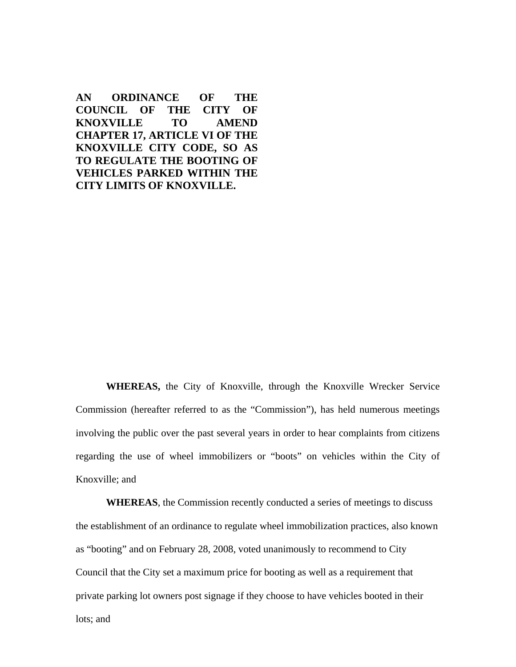**AN ORDINANCE OF THE COUNCIL OF THE CITY OF KNOXVILLE TO AMEND CHAPTER 17, ARTICLE VI OF THE KNOXVILLE CITY CODE, SO AS TO REGULATE THE BOOTING OF VEHICLES PARKED WITHIN THE CITY LIMITS OF KNOXVILLE.** 

**WHEREAS,** the City of Knoxville, through the Knoxville Wrecker Service Commission (hereafter referred to as the "Commission"), has held numerous meetings involving the public over the past several years in order to hear complaints from citizens regarding the use of wheel immobilizers or "boots" on vehicles within the City of Knoxville; and

**WHEREAS**, the Commission recently conducted a series of meetings to discuss the establishment of an ordinance to regulate wheel immobilization practices, also known as "booting" and on February 28, 2008, voted unanimously to recommend to City Council that the City set a maximum price for booting as well as a requirement that private parking lot owners post signage if they choose to have vehicles booted in their lots; and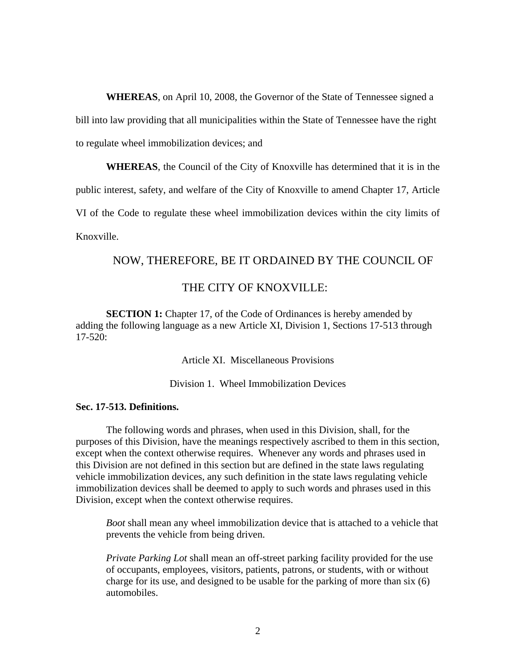**WHEREAS**, on April 10, 2008, the Governor of the State of Tennessee signed a bill into law providing that all municipalities within the State of Tennessee have the right to regulate wheel immobilization devices; and

**WHEREAS**, the Council of the City of Knoxville has determined that it is in the public interest, safety, and welfare of the City of Knoxville to amend Chapter 17, Article VI of the Code to regulate these wheel immobilization devices within the city limits of Knoxville.

# NOW, THEREFORE, BE IT ORDAINED BY THE COUNCIL OF

# THE CITY OF KNOXVILLE:

**SECTION 1:** Chapter 17, of the Code of Ordinances is hereby amended by adding the following language as a new Article XI, Division 1, Sections 17-513 through 17-520:

Article XI. Miscellaneous Provisions

Division 1. Wheel Immobilization Devices

#### **Sec. 17-513. Definitions.**

 The following words and phrases, when used in this Division, shall, for the purposes of this Division, have the meanings respectively ascribed to them in this section, except when the context otherwise requires. Whenever any words and phrases used in this Division are not defined in this section but are defined in the state laws regulating vehicle immobilization devices, any such definition in the state laws regulating vehicle immobilization devices shall be deemed to apply to such words and phrases used in this Division, except when the context otherwise requires.

*Boot* shall mean any wheel immobilization device that is attached to a vehicle that prevents the vehicle from being driven.

*Private Parking Lot* shall mean an off-street parking facility provided for the use of occupants, employees, visitors, patients, patrons, or students, with or without charge for its use, and designed to be usable for the parking of more than six (6) automobiles.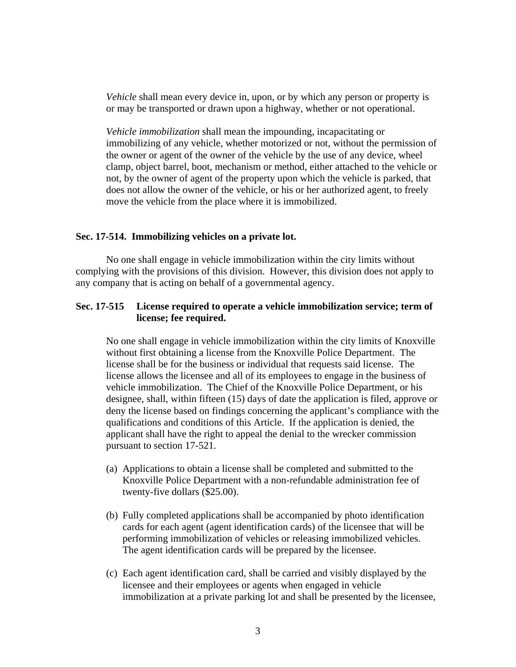*Vehicle* shall mean every device in, upon, or by which any person or property is or may be transported or drawn upon a highway, whether or not operational.

*Vehicle immobilization* shall mean the impounding, incapacitating or immobilizing of any vehicle, whether motorized or not, without the permission of the owner or agent of the owner of the vehicle by the use of any device, wheel clamp, object barrel, boot, mechanism or method, either attached to the vehicle or not, by the owner of agent of the property upon which the vehicle is parked, that does not allow the owner of the vehicle, or his or her authorized agent, to freely move the vehicle from the place where it is immobilized.

#### **Sec. 17-514. Immobilizing vehicles on a private lot.**

 No one shall engage in vehicle immobilization within the city limits without complying with the provisions of this division. However, this division does not apply to any company that is acting on behalf of a governmental agency.

## **Sec. 17-515 License required to operate a vehicle immobilization service; term of license; fee required.**

No one shall engage in vehicle immobilization within the city limits of Knoxville without first obtaining a license from the Knoxville Police Department. The license shall be for the business or individual that requests said license. The license allows the licensee and all of its employees to engage in the business of vehicle immobilization. The Chief of the Knoxville Police Department, or his designee, shall, within fifteen (15) days of date the application is filed, approve or deny the license based on findings concerning the applicant's compliance with the qualifications and conditions of this Article. If the application is denied, the applicant shall have the right to appeal the denial to the wrecker commission pursuant to section 17-521.

- (a) Applications to obtain a license shall be completed and submitted to the Knoxville Police Department with a non-refundable administration fee of twenty-five dollars (\$25.00).
- (b) Fully completed applications shall be accompanied by photo identification cards for each agent (agent identification cards) of the licensee that will be performing immobilization of vehicles or releasing immobilized vehicles. The agent identification cards will be prepared by the licensee.
- (c) Each agent identification card, shall be carried and visibly displayed by the licensee and their employees or agents when engaged in vehicle immobilization at a private parking lot and shall be presented by the licensee,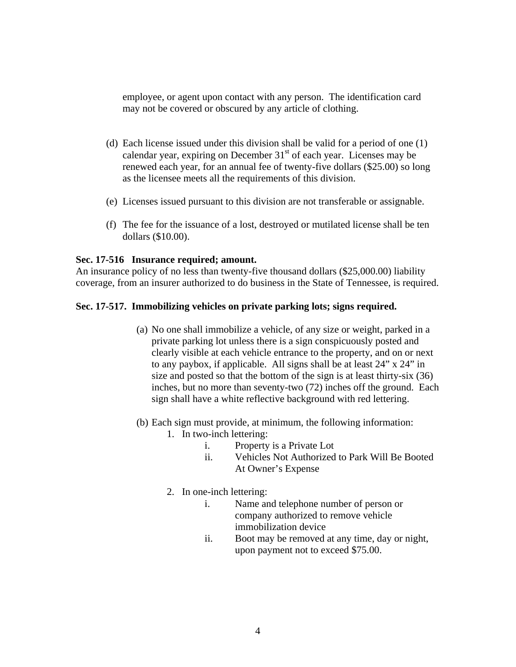employee, or agent upon contact with any person. The identification card may not be covered or obscured by any article of clothing.

- (d) Each license issued under this division shall be valid for a period of one (1) calendar year, expiring on December  $31<sup>st</sup>$  of each year. Licenses may be renewed each year, for an annual fee of twenty-five dollars (\$25.00) so long as the licensee meets all the requirements of this division.
- (e) Licenses issued pursuant to this division are not transferable or assignable.
- (f) The fee for the issuance of a lost, destroyed or mutilated license shall be ten dollars (\$10.00).

#### **Sec. 17-516 Insurance required; amount.**

An insurance policy of no less than twenty-five thousand dollars (\$25,000.00) liability coverage, from an insurer authorized to do business in the State of Tennessee, is required.

### **Sec. 17-517. Immobilizing vehicles on private parking lots; signs required.**

- (a) No one shall immobilize a vehicle, of any size or weight, parked in a private parking lot unless there is a sign conspicuously posted and clearly visible at each vehicle entrance to the property, and on or next to any paybox, if applicable. All signs shall be at least 24" x 24" in size and posted so that the bottom of the sign is at least thirty-six (36) inches, but no more than seventy-two (72) inches off the ground. Each sign shall have a white reflective background with red lettering.
- (b) Each sign must provide, at minimum, the following information:
	- 1. In two-inch lettering:
		- i. Property is a Private Lot
		- ii. Vehicles Not Authorized to Park Will Be Booted At Owner's Expense
	- 2. In one-inch lettering:
		- i. Name and telephone number of person or company authorized to remove vehicle immobilization device
		- ii. Boot may be removed at any time, day or night, upon payment not to exceed \$75.00.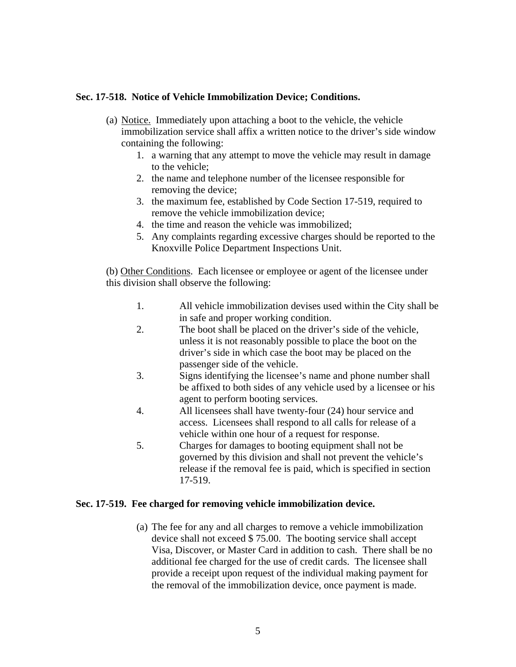# **Sec. 17-518. Notice of Vehicle Immobilization Device; Conditions.**

- (a) Notice. Immediately upon attaching a boot to the vehicle, the vehicle immobilization service shall affix a written notice to the driver's side window containing the following:
	- 1. a warning that any attempt to move the vehicle may result in damage to the vehicle;
	- 2. the name and telephone number of the licensee responsible for removing the device;
	- 3. the maximum fee, established by Code Section 17-519, required to remove the vehicle immobilization device;
	- 4. the time and reason the vehicle was immobilized;
	- 5. Any complaints regarding excessive charges should be reported to the Knoxville Police Department Inspections Unit.

(b) Other Conditions. Each licensee or employee or agent of the licensee under this division shall observe the following:

- 1. All vehicle immobilization devises used within the City shall be in safe and proper working condition.
- 2. The boot shall be placed on the driver's side of the vehicle, unless it is not reasonably possible to place the boot on the driver's side in which case the boot may be placed on the passenger side of the vehicle.
- 3. Signs identifying the licensee's name and phone number shall be affixed to both sides of any vehicle used by a licensee or his agent to perform booting services.
- 4. All licensees shall have twenty-four (24) hour service and access. Licensees shall respond to all calls for release of a vehicle within one hour of a request for response.
- 5. Charges for damages to booting equipment shall not be governed by this division and shall not prevent the vehicle's release if the removal fee is paid, which is specified in section 17-519.

# **Sec. 17-519. Fee charged for removing vehicle immobilization device.**

(a) The fee for any and all charges to remove a vehicle immobilization device shall not exceed \$ 75.00. The booting service shall accept Visa, Discover, or Master Card in addition to cash. There shall be no additional fee charged for the use of credit cards. The licensee shall provide a receipt upon request of the individual making payment for the removal of the immobilization device, once payment is made.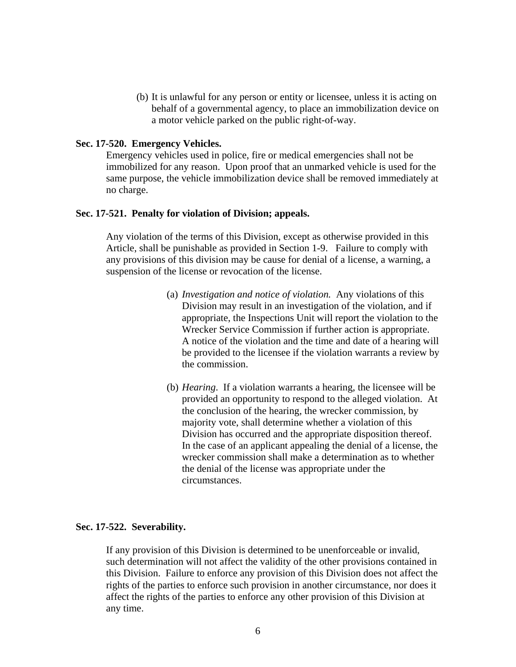(b) It is unlawful for any person or entity or licensee, unless it is acting on behalf of a governmental agency, to place an immobilization device on a motor vehicle parked on the public right-of-way.

### **Sec. 17-520. Emergency Vehicles.**

Emergency vehicles used in police, fire or medical emergencies shall not be immobilized for any reason. Upon proof that an unmarked vehicle is used for the same purpose, the vehicle immobilization device shall be removed immediately at no charge.

### **Sec. 17-521. Penalty for violation of Division; appeals.**

Any violation of the terms of this Division, except as otherwise provided in this Article, shall be punishable as provided in Section 1-9. Failure to comply with any provisions of this division may be cause for denial of a license, a warning, a suspension of the license or revocation of the license.

- (a) *Investigation and notice of violation.* Any violations of this Division may result in an investigation of the violation, and if appropriate, the Inspections Unit will report the violation to the Wrecker Service Commission if further action is appropriate. A notice of the violation and the time and date of a hearing will be provided to the licensee if the violation warrants a review by the commission.
- (b) *Hearing*. If a violation warrants a hearing, the licensee will be provided an opportunity to respond to the alleged violation. At the conclusion of the hearing, the wrecker commission, by majority vote, shall determine whether a violation of this Division has occurred and the appropriate disposition thereof. In the case of an applicant appealing the denial of a license, the wrecker commission shall make a determination as to whether the denial of the license was appropriate under the circumstances.

### **Sec. 17-522. Severability.**

If any provision of this Division is determined to be unenforceable or invalid, such determination will not affect the validity of the other provisions contained in this Division. Failure to enforce any provision of this Division does not affect the rights of the parties to enforce such provision in another circumstance, nor does it affect the rights of the parties to enforce any other provision of this Division at any time.